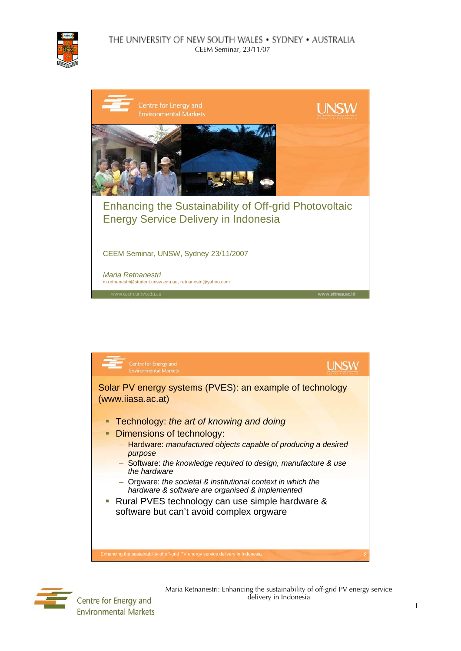

## THE UNIVERSITY OF NEW SOUTH WALES . SYDNEY . AUSTRALIA CEEM Seminar, 23/11/07







Centre for Energy and **Environmental Markets**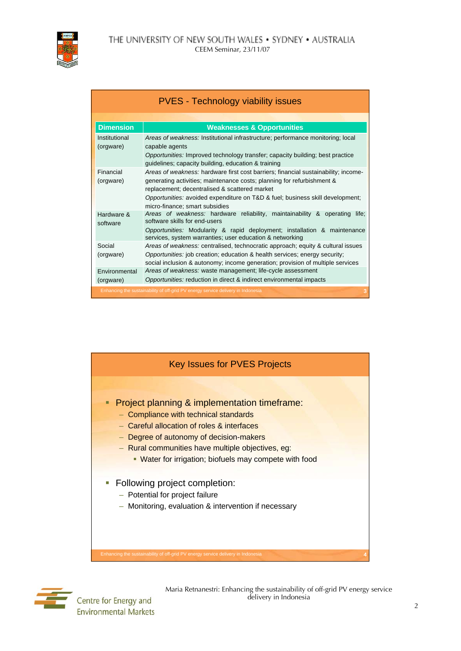

| <b>PVES - Technology viability issues</b>                                        |                                                                                                                                                                                                                                                                                                                                  |  |
|----------------------------------------------------------------------------------|----------------------------------------------------------------------------------------------------------------------------------------------------------------------------------------------------------------------------------------------------------------------------------------------------------------------------------|--|
|                                                                                  |                                                                                                                                                                                                                                                                                                                                  |  |
| <b>Dimension</b>                                                                 | <b>Weaknesses &amp; Opportunities</b>                                                                                                                                                                                                                                                                                            |  |
| Institutional<br>(orgware)                                                       | Areas of weakness: Institutional infrastructure; performance monitoring; local<br>capable agents<br>Opportunities: Improved technology transfer; capacity building; best practice<br>guidelines; capacity building, education & training                                                                                         |  |
| Financial<br>(orgware)                                                           | Areas of weakness: hardware first cost barriers; financial sustainability; income-<br>generating activities; maintenance costs; planning for refurbishment &<br>replacement; decentralised & scattered market<br>Opportunities: avoided expenditure on T&D & fuel; business skill development;<br>micro-finance; smart subsidies |  |
| Hardware &<br>software                                                           | Areas of weakness: hardware reliability, maintainability & operating life;<br>software skills for end-users<br>Opportunities: Modularity & rapid deployment; installation & maintenance<br>services, system warranties; user education & networking                                                                              |  |
| Social<br>(orgware)                                                              | <i>Areas of weakness: centralised, technocratic approach; equity &amp; cultural issues</i><br>Opportunities: job creation; education & health services; energy security;<br>social inclusion & autonomy; income generation; provision of multiple services                                                                       |  |
| Environmental<br>(orgware)                                                       | Areas of weakness: waste management; life-cycle assessment<br>Opportunities: reduction in direct & indirect environmental impacts                                                                                                                                                                                                |  |
| Enhancing the sustainability of off-grid PV energy service delivery in Indonesia |                                                                                                                                                                                                                                                                                                                                  |  |





Centre for Energy and **Environmental Markets**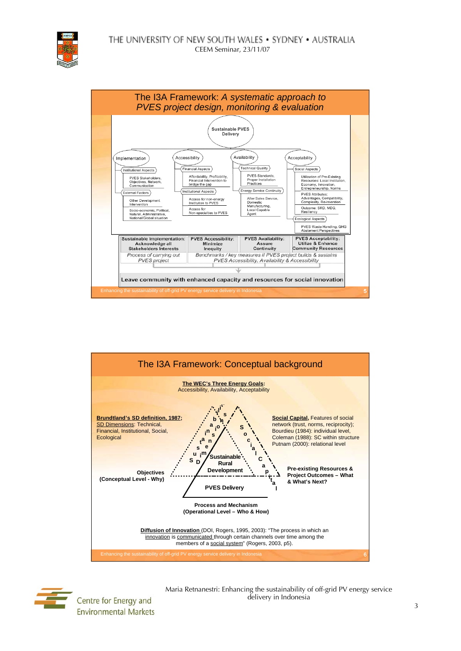





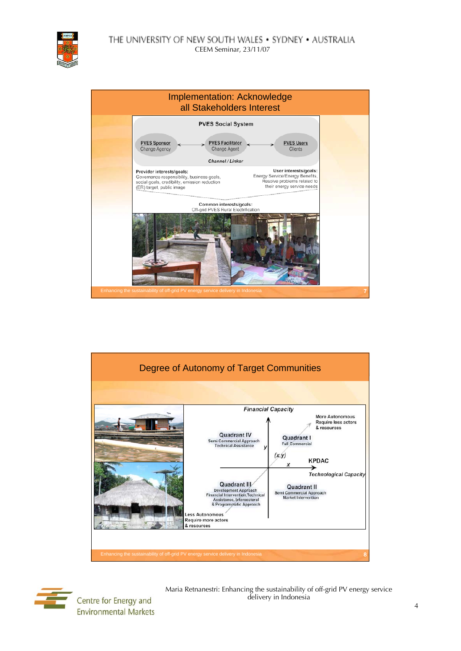THE UNIVERSITY OF NEW SOUTH WALES . SYDNEY . AUSTRALIA CEEM Seminar, 23/11/07







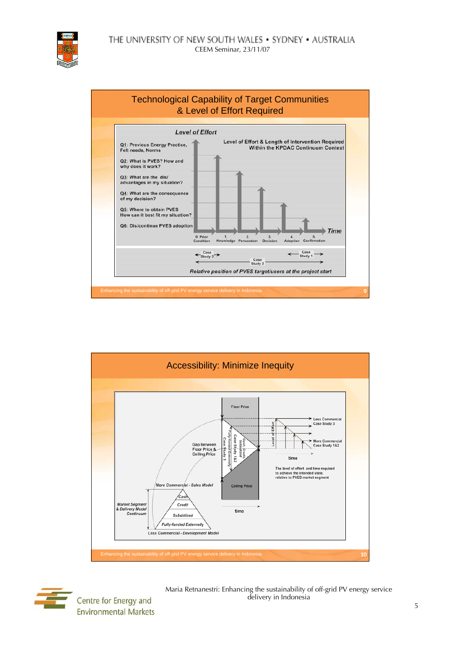





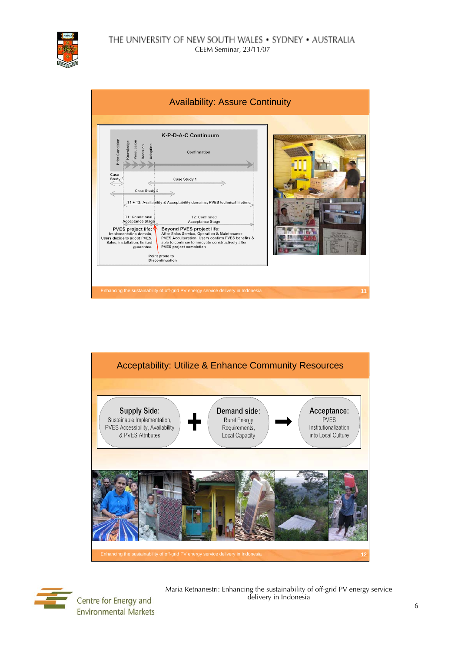

| <b>Availability: Assure Continuity</b>                                                                                                                                                                                                                                                           |    |
|--------------------------------------------------------------------------------------------------------------------------------------------------------------------------------------------------------------------------------------------------------------------------------------------------|----|
|                                                                                                                                                                                                                                                                                                  |    |
| K-P-D-A-C Continuum                                                                                                                                                                                                                                                                              |    |
| Prior Condition<br>Knowledge<br>Persuasion<br>Adoption<br>Decision<br>Confirmation                                                                                                                                                                                                               |    |
| Case<br>Case Study 1<br>Study 3<br>Case Study 2<br>T1 + T2; Availability & Acceptability domains; PVES technical lifetime                                                                                                                                                                        |    |
| T1: Conditional<br>T2: Confirmed<br>Acceptance Stage<br><b>Acceptance Stage</b><br>Beyond PVES project life:<br>PVES project life:<br>After Sales Service, Operation & Maintenance<br>Implementation domain,<br>PVES Acculturation: Users confirm PVES benefits &<br>Users decide to adopt PVES, |    |
| Sales, installation, limited<br>able to continue to innovate constructively after<br>PVES project completion<br>quarantee.<br>Point prone to<br><b>Discontinuation</b>                                                                                                                           |    |
|                                                                                                                                                                                                                                                                                                  |    |
| Enhancing the sustainability of off-grid PV energy service delivery in Indonesia                                                                                                                                                                                                                 | 11 |